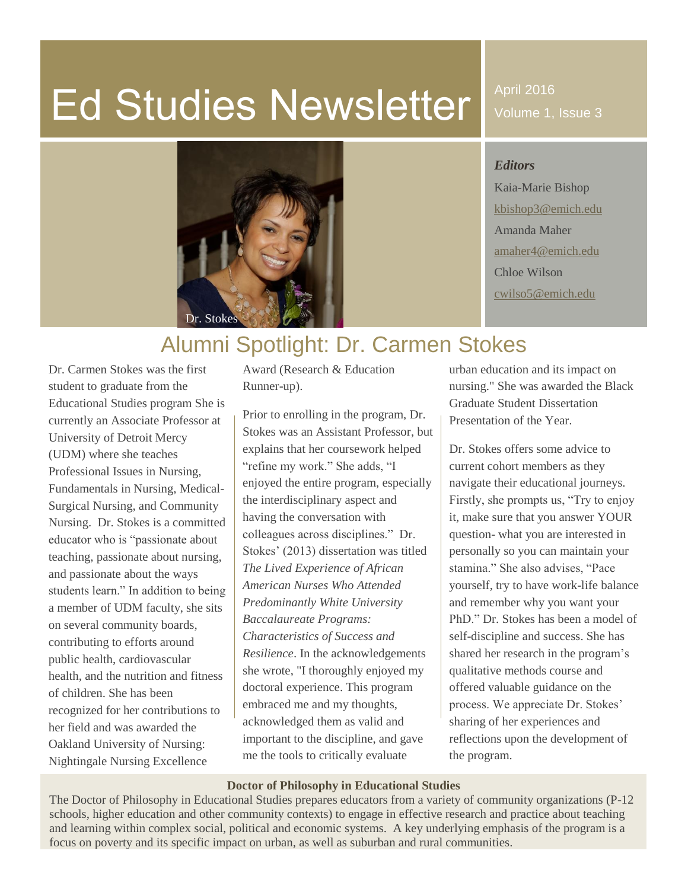# Ed Studies Newsletter

April 2016 Volume 1, Issue 3

## *Editors*

Kaia-Marie Bishop [kbishop3@emich.edu](mailto:kbishop3@emich.edu) Amanda Maher [amaher4@emich.edu](mailto:amaher4@emich.edu) Chloe Wilson [cwilso5@emich.edu](mailto:cwilso5@emich.edu)

# Alumni Spotlight: Dr. Carmen Stokes

Dr. Carmen Stokes was the first student to graduate from the Educational Studies program She is currently an Associate Professor at University of Detroit Mercy (UDM) where she teaches Professional Issues in Nursing, Fundamentals in Nursing, Medical-Surgical Nursing, and Community Nursing. Dr. Stokes is a committed educator who is "passionate about teaching, passionate about nursing, and passionate about the ways students learn." In addition to being a member of UDM faculty, she sits on several community boards, contributing to efforts around public health, cardiovascular health, and the nutrition and fitness of children. She has been recognized for her contributions to her field and was awarded the Oakland University of Nursing: Nightingale Nursing Excellence

Award (Research & Education Runner-up).

Prior to enrolling in the program, Dr. Stokes was an Assistant Professor, but explains that her coursework helped "refine my work." She adds, "I enjoyed the entire program, especially the interdisciplinary aspect and having the conversation with colleagues across disciplines." Dr. Stokes' (2013) dissertation was titled *The Lived Experience of African American Nurses Who Attended Predominantly White University Baccalaureate Programs: Characteristics of Success and Resilience*. In the acknowledgements she wrote, "I thoroughly enjoyed my doctoral experience. This program embraced me and my thoughts, acknowledged them as valid and important to the discipline, and gave me the tools to critically evaluate

urban education and its impact on nursing." She was awarded the Black Graduate Student Dissertation Presentation of the Year.

Dr. Stokes offers some advice to current cohort members as they navigate their educational journeys. Firstly, she prompts us, "Try to enjoy it, make sure that you answer YOUR question- what you are interested in personally so you can maintain your stamina." She also advises, "Pace yourself, try to have work-life balance and remember why you want your PhD." Dr. Stokes has been a model of self-discipline and success. She has shared her research in the program's qualitative methods course and offered valuable guidance on the process. We appreciate Dr. Stokes' sharing of her experiences and reflections upon the development of the program.

#### **Doctor of Philosophy in Educational Studies**

The Doctor of Philosophy in Educational Studies prepares educators from a variety of community organizations (P-12 schools, higher education and other community contexts) to engage in effective research and practice about teaching and learning within complex social, political and economic systems. A key underlying emphasis of the program is a focus on poverty and its specific impact on urban, as well as suburban and rural communities.

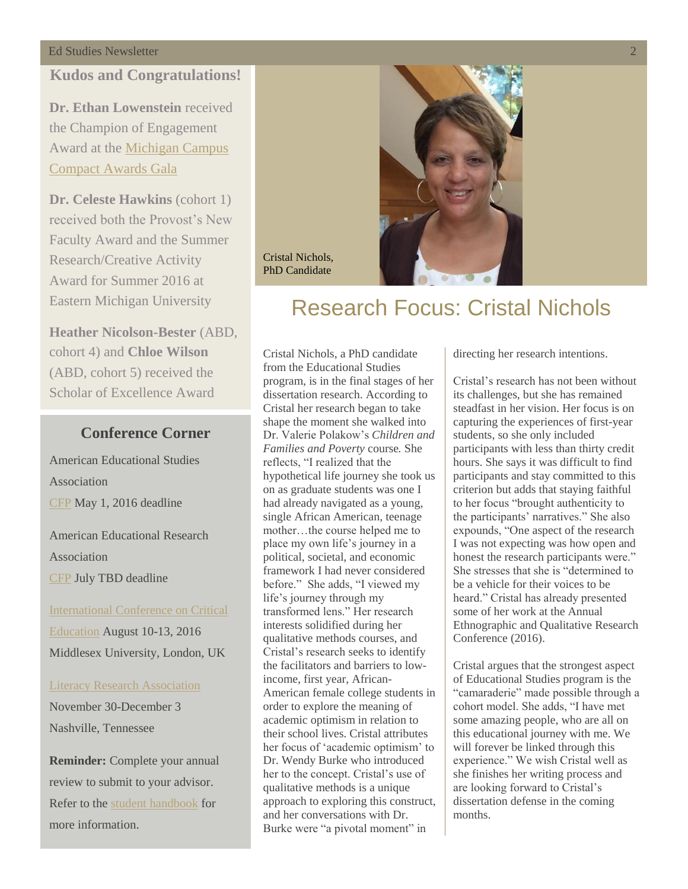# **Kudos and Congratulations!**

**Dr. Ethan Lowenstein** received the Champion of Engagement Award at the [Michigan Campus](http://micampuscompact.org/miccawards.aspx)  [Compact Awards Gala](http://micampuscompact.org/miccawards.aspx)

**Dr. Celeste Hawkins** (cohort 1) received both the Provost's New Faculty Award and the Summer Research/Creative Activity Award for Summer 2016 at Eastern Michigan University

**Heather Nicolson-Bester** (ABD, cohort 4) and **Chloe Wilson** (ABD, cohort 5) received the Scholar of Excellence Award

## **Conference Corner**

American Educational Studies Association [CFP](http://www.educationalstudies.org/conference.html) May 1, 2016 deadline

American Educational Research Association [CFP](http://www.aera.net/EventsMeetings/AnnualMeeting/2016AnnualMeetingCallforPaperandSessionSubmissions/tabid/15964/Default.aspx) July TBD deadline

[International Conference on Critical](http://icce-2016.weebly.com/)  [Education](http://icce-2016.weebly.com/) August 10-13, 2016 Middlesex University, London, UK

[Literacy Research Association](http://www.literacyresearchassociation.org/index.php) November 30-December 3 Nashville, Tennessee

**Reminder:** Complete your annual review to submit to your advisor. Refer to the [student handbook](http://www.emich.edu/coe/departments/teacher-education/educational-studies/documents/educational-studies-doctoral-program-student-handbook.pdf) for more information.



# Research Focus: Cristal Nichols

Cristal Nichols, a PhD candidate from the Educational Studies program, is in the final stages of her dissertation research. According to Cristal her research began to take shape the moment she walked into Dr. Valerie Polakow's *Children and Families and Poverty* course*.* She reflects, "I realized that the hypothetical life journey she took us on as graduate students was one I had already navigated as a young, single African American, teenage mother…the course helped me to place my own life's journey in a political, societal, and economic framework I had never considered before." She adds, "I viewed my life's journey through my transformed lens." Her research interests solidified during her qualitative methods courses, and Cristal's research seeks to identify the facilitators and barriers to lowincome, first year, African-American female college students in order to explore the meaning of academic optimism in relation to their school lives. Cristal attributes her focus of 'academic optimism' to Dr. Wendy Burke who introduced her to the concept. Cristal's use of qualitative methods is a unique approach to exploring this construct, and her conversations with Dr. Burke were "a pivotal moment" in

Cristal Nichols, PhD Candidate

directing her research intentions.

Cristal's research has not been without its challenges, but she has remained steadfast in her vision. Her focus is on capturing the experiences of first-year students, so she only included participants with less than thirty credit hours. She says it was difficult to find participants and stay committed to this criterion but adds that staying faithful to her focus "brought authenticity to the participants' narratives." She also expounds, "One aspect of the research I was not expecting was how open and honest the research participants were." She stresses that she is "determined to be a vehicle for their voices to be heard." Cristal has already presented some of her work at the Annual Ethnographic and Qualitative Research Conference (2016).

Cristal argues that the strongest aspect of Educational Studies program is the "camaraderie" made possible through a cohort model. She adds, "I have met some amazing people, who are all on this educational journey with me. We will forever be linked through this experience." We wish Cristal well as she finishes her writing process and are looking forward to Cristal's dissertation defense in the coming months.